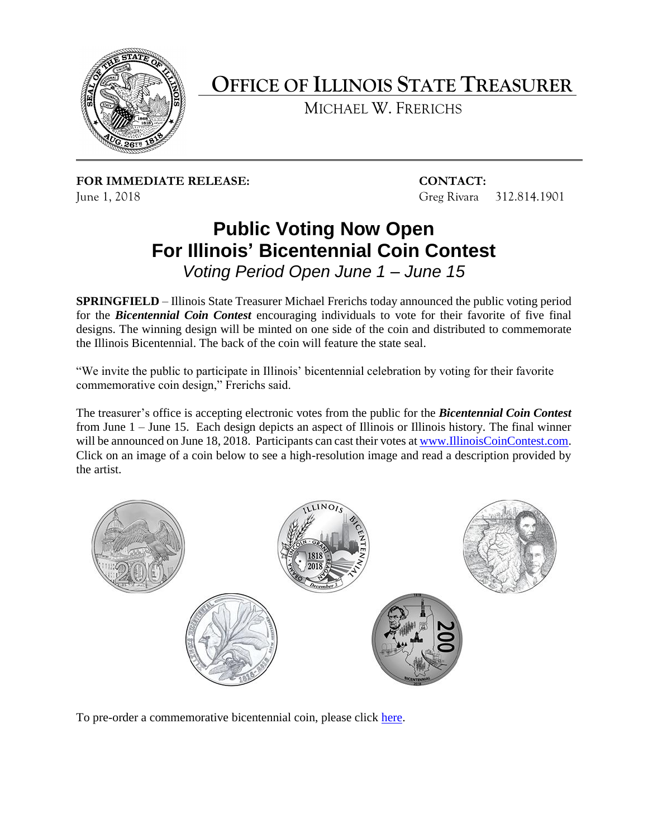

## **OFFICE OF ILLINOIS STATE TREASURER**

MICHAEL W. FRERICHS

**FOR IMMEDIATE RELEASE: CONTACT:**  June 1, 2018 Greg Rivara 312.814.1901

## **Public Voting Now Open For Illinois' Bicentennial Coin Contest**  *Voting Period Open June 1 – June 15*

 **SPRINGFIELD** – Illinois State Treasurer Michael Frerichs today announced the public voting period  for the *Bicentennial Coin Contest* encouraging individuals to vote for their favorite of five final designs. The winning design will be minted on one side of the coin and distributed to commemorate the Illinois Bicentennial. The back of the coin will feature the state seal.

 "We invite the public to participate in Illinois' bicentennial celebration by voting for their favorite commemorative coin design," Frerichs said.

 The treasurer's office is accepting electronic votes from the public for the *Bicentennial Coin Contest*  from June 1 – June 15. Each design depicts an aspect of Illinois or Illinois history. The final winner will be announced on June 18, 2018. Participants can cast their votes a[t www.IllinoisCoinContest.com.](http://www.illinoiscoincontest.com/) Click on an image of a coin below to see a high-resolution image and read a description provided by the artist.



To pre-order a commemorative bicentennial coin, please click [here.](https://magic.collectorsolutions.com/magic-ui/Payments/Illinois-treasurer-bicentennial/medallion)